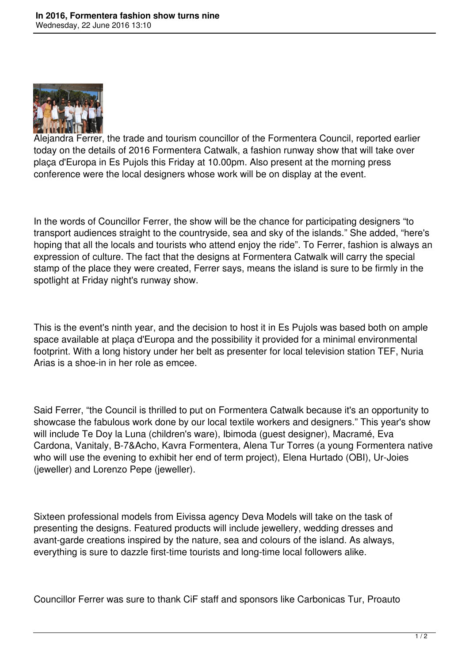

Alejandra Ferrer, the trade and tourism councillor of the Formentera Council, reported earlier today on the details of 2016 Formentera Catwalk, a fashion runway show that will take over plaça d'Europa in Es Pujols this Friday at 10.00pm. Also present at the morning press conference were the local designers whose work will be on display at the event.

In the words of Councillor Ferrer, the show will be the chance for participating designers "to transport audiences straight to the countryside, sea and sky of the islands." She added, "here's hoping that all the locals and tourists who attend enjoy the ride". To Ferrer, fashion is always an expression of culture. The fact that the designs at Formentera Catwalk will carry the special stamp of the place they were created, Ferrer says, means the island is sure to be firmly in the spotlight at Friday night's runway show.

This is the event's ninth year, and the decision to host it in Es Pujols was based both on ample space available at plaça d'Europa and the possibility it provided for a minimal environmental footprint. With a long history under her belt as presenter for local television station TEF, Nuria Arias is a shoe-in in her role as emcee.

Said Ferrer, "the Council is thrilled to put on Formentera Catwalk because it's an opportunity to showcase the fabulous work done by our local textile workers and designers." This year's show will include Te Doy la Luna (children's ware), Ibimoda (guest designer), Macramé, Eva Cardona, Vanitaly, B-7&Acho, Kavra Formentera, Alena Tur Torres (a young Formentera native who will use the evening to exhibit her end of term project), Elena Hurtado (OBI), Ur-Joies (jeweller) and Lorenzo Pepe (jeweller).

Sixteen professional models from Eivissa agency Deva Models will take on the task of presenting the designs. Featured products will include jewellery, wedding dresses and avant-garde creations inspired by the nature, sea and colours of the island. As always, everything is sure to dazzle first-time tourists and long-time local followers alike.

Councillor Ferrer was sure to thank CiF staff and sponsors like Carbonicas Tur, Proauto